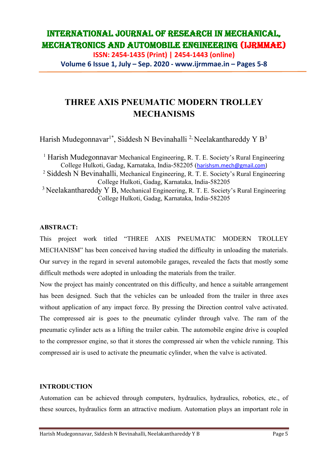**ISSN: 2454-1435 (Print) | 2454-1443 (online) Volume 6 Issue 1, July – Sep. 2020 - www.ijrmmae.in – Pages 5-8**

# **THREE AXIS PNEUMATIC MODERN TROLLEY MECHANISMS**

Harish Mudegonnavar<sup>1\*</sup>, Siddesh N Bevinahalli<sup>2,</sup> Neelakanthareddy Y B<sup>3</sup>

<sup>1</sup> Harish Mudegonnavar<sup>,</sup> Mechanical Engineering, R. T. E. Society's Rural Engineering College Hulkoti, Gadag, Karnataka, India-582205 ([harishsm.mech@gmail.com\)](mailto:harishsm.mech@gmail.com) <sup>2</sup> Siddesh N Bevinahalli, Mechanical Engineering, R. T. E. Society's Rural Engineering College Hulkoti, Gadag, Karnataka, India-582205  $3$  Neelakanthareddy Y B, Mechanical Engineering, R. T. E. Society's Rural Engineering College Hulkoti, Gadag, Karnataka, India-582205

### **ABSTRACT:**

This project work titled "THREE AXIS PNEUMATIC MODERN TROLLEY MECHANISM" has been conceived having studied the difficulty in unloading the materials. Our survey in the regard in several automobile garages, revealed the facts that mostly some difficult methods were adopted in unloading the materials from the trailer.

Now the project has mainly concentrated on this difficulty, and hence a suitable arrangement has been designed. Such that the vehicles can be unloaded from the trailer in three axes without application of any impact force. By pressing the Direction control valve activated. The compressed air is goes to the pneumatic cylinder through valve. The ram of the pneumatic cylinder acts as a lifting the trailer cabin. The automobile engine drive is coupled to the compressor engine, so that it stores the compressed air when the vehicle running. This compressed air is used to activate the pneumatic cylinder, when the valve is activated.

#### **INTRODUCTION**

Automation can be achieved through computers, hydraulics, hydraulics, robotics, etc., of these sources, hydraulics form an attractive medium. Automation plays an important role in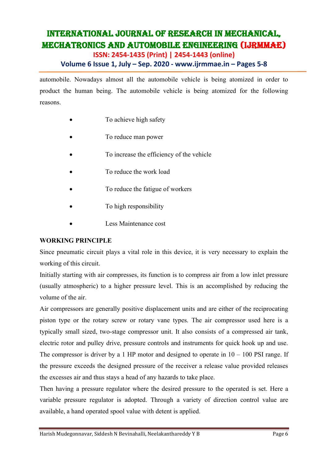**ISSN: 2454-1435 (Print) | 2454-1443 (online)**

## **Volume 6 Issue 1, July – Sep. 2020 - www.ijrmmae.in – Pages 5-8**

automobile. Nowadays almost all the automobile vehicle is being atomized in order to product the human being. The automobile vehicle is being atomized for the following reasons.

- To achieve high safety
- To reduce man power
- To increase the efficiency of the vehicle
- To reduce the work load
- To reduce the fatigue of workers
- To high responsibility
- Less Maintenance cost

#### **WORKING PRINCIPLE**

Since pneumatic circuit plays a vital role in this device, it is very necessary to explain the working of this circuit.

Initially starting with air compresses, its function is to compress air from a low inlet pressure (usually atmospheric) to a higher pressure level. This is an accomplished by reducing the volume of the air.

Air compressors are generally positive displacement units and are either of the reciprocating piston type or the rotary screw or rotary vane types. The air compressor used here is a typically small sized, two-stage compressor unit. It also consists of a compressed air tank, electric rotor and pulley drive, pressure controls and instruments for quick hook up and use. The compressor is driver by a 1 HP motor and designed to operate in  $10 - 100$  PSI range. If the pressure exceeds the designed pressure of the receiver a release value provided releases the excesses air and thus stays a head of any hazards to take place.

Then having a pressure regulator where the desired pressure to the operated is set. Here a variable pressure regulator is adopted. Through a variety of direction control value are available, a hand operated spool value with detent is applied.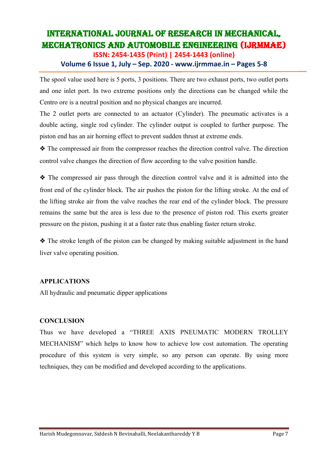**ISSN: 2454-1435 (Print) | 2454-1443 (online)**

### **Volume 6 Issue 1, July – Sep. 2020 - www.ijrmmae.in – Pages 5-8**

The spool value used here is 5 ports, 3 positions. There are two exhaust ports, two outlet ports and one inlet port. In two extreme positions only the directions can be changed while the Centro ore is a neutral position and no physical changes are incurred.

The 2 outlet ports are connected to an actuator (Cylinder). The pneumatic activates is a double acting, single rod cylinder. The cylinder output is coupled to further purpose. The piston end has an air horning effect to prevent sudden thrust at extreme ends.

❖ The compressed air from the compressor reaches the direction control valve. The direction control valve changes the direction of flow according to the valve position handle.

❖ The compressed air pass through the direction control valve and it is admitted into the front end of the cylinder block. The air pushes the piston for the lifting stroke. At the end of the lifting stroke air from the valve reaches the rear end of the cylinder block. The pressure remains the same but the area is less due to the presence of piston rod. This exerts greater pressure on the piston, pushing it at a faster rate thus enabling faster return stroke.

❖ The stroke length of the piston can be changed by making suitable adjustment in the hand liver valve operating position.

#### **APPLICATIONS**

All hydraulic and pneumatic dipper applications

#### **CONCLUSION**

Thus we have developed a "THREE AXIS PNEUMATIC MODERN TROLLEY MECHANISM" which helps to know how to achieve low cost automation. The operating procedure of this system is very simple, so any person can operate. By using more techniques, they can be modified and developed according to the applications.